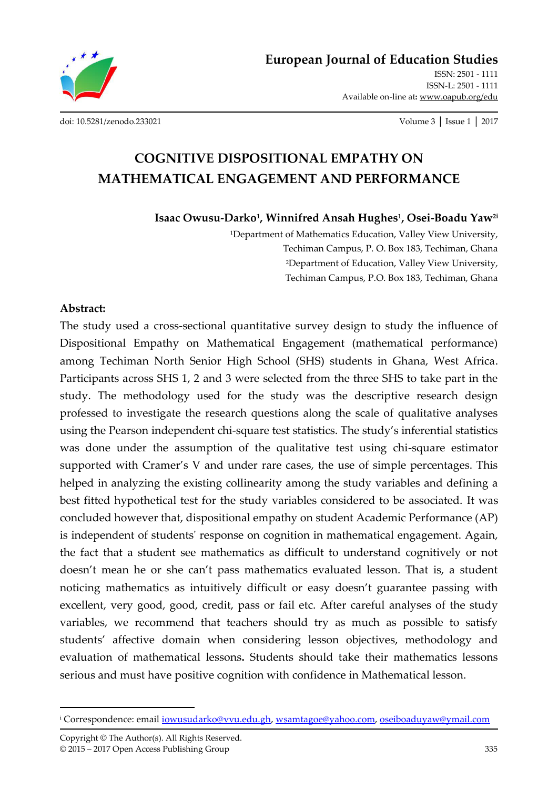

[ISSN: 2501 - 1111](http://oapub.org/edu/index.php/ejes)  [ISSN-L: 2501 - 1111](http://oapub.org/edu/index.php/ejes)  Available on-line at**:** [www.oapub.org/edu](http://www.oapub.org/edu) 

[doi: 10.5281/zenodo.233021](http://dx.doi.org/10.5281/zenodo.233021) Volume 3 │ Issue 1 │ 2017

# **COGNITIVE DISPOSITIONAL EMPATHY ON MATHEMATICAL ENGAGEMENT AND PERFORMANCE**

**Isaac Owusu-Darko<sup>1</sup> , Winnifred Ansah Hughes<sup>1</sup> , Osei-Boadu Yaw2i** 

<sup>1</sup>Department of Mathematics Education, Valley View University, Techiman Campus, P. O. Box 183, Techiman, Ghana <sup>2</sup>Department of Education, Valley View University, Techiman Campus, P.O. Box 183, Techiman, Ghana

#### **Abstract:**

The study used a cross-sectional quantitative survey design to study the influence of Dispositional Empathy on Mathematical Engagement (mathematical performance) among Techiman North Senior High School (SHS) students in Ghana, West Africa. Participants across SHS 1, 2 and 3 were selected from the three SHS to take part in the study. The methodology used for the study was the descriptive research design professed to investigate the research questions along the scale of qualitative analyses using the Pearson independent chi-square test statistics. The study's inferential statistics was done under the assumption of the qualitative test using chi-square estimator supported with Cramer's V and under rare cases, the use of simple percentages. This helped in analyzing the existing collinearity among the study variables and defining a best fitted hypothetical test for the study variables considered to be associated. It was concluded however that, dispositional empathy on student Academic Performance (AP) is independent of students' response on cognition in mathematical engagement. Again, the fact that a student see mathematics as difficult to understand cognitively or not doesn't mean he or she can't pass mathematics evaluated lesson. That is, a student noticing mathematics as intuitively difficult or easy doesn't guarantee passing with excellent, very good, good, credit, pass or fail etc. After careful analyses of the study variables, we recommend that teachers should try as much as possible to satisfy students' affective domain when considering lesson objectives, methodology and evaluation of mathematical lessons**.** Students should take their mathematics lessons serious and must have positive cognition with confidence in Mathematical lesson.

 $\overline{a}$ 

<sup>&</sup>lt;u>i Correspondence: email <u>iowusudarko@vvu.edu.gh</u>, <u>wsamtagoe@yahoo.com</u>, <u>oseiboaduyaw@ymail.com</u></u>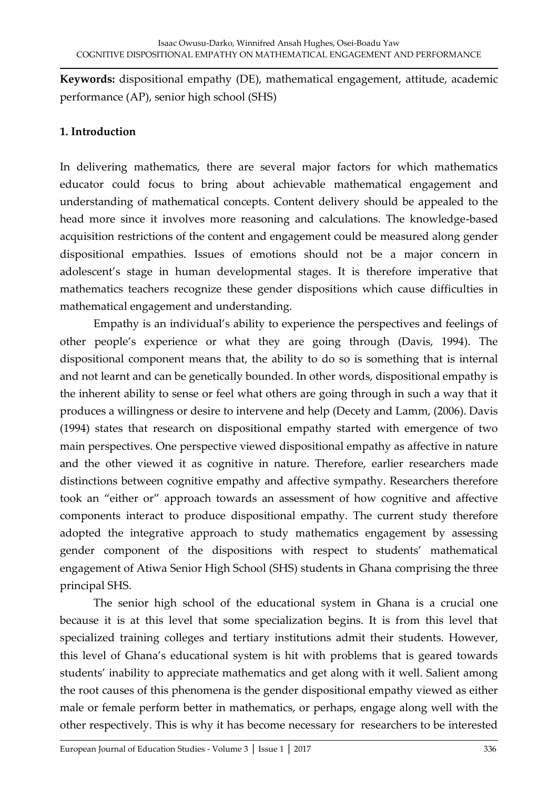**Keywords:** dispositional empathy (DE), mathematical engagement, attitude, academic performance (AP), senior high school (SHS)

# **1. Introduction**

In delivering mathematics, there are several major factors for which mathematics educator could focus to bring about achievable mathematical engagement and understanding of mathematical concepts. Content delivery should be appealed to the head more since it involves more reasoning and calculations. The knowledge-based acquisition restrictions of the content and engagement could be measured along gender dispositional empathies. Issues of emotions should not be a major concern in adolescent's stage in human developmental stages. It is therefore imperative that mathematics teachers recognize these gender dispositions which cause difficulties in mathematical engagement and understanding.

Empathy is an individual's ability to experience the perspectives and feelings of other people's experience or what they are going through (Davis, 1994). The dispositional component means that, the ability to do so is something that is internal and not learnt and can be genetically bounded. In other words, dispositional empathy is the inherent ability to sense or feel what others are going through in such a way that it produces a willingness or desire to intervene and help (Decety and Lamm, (2006). Davis (1994) states that research on dispositional empathy started with emergence of two main perspectives. One perspective viewed dispositional empathy as affective in nature and the other viewed it as cognitive in nature. Therefore, earlier researchers made distinctions between cognitive empathy and affective sympathy. Researchers therefore took an "either or" approach towards an assessment of how cognitive and affective components interact to produce dispositional empathy. The current study therefore adopted the integrative approach to study mathematics engagement by assessing gender component of the dispositions with respect to students' mathematical engagement of Atiwa Senior High School (SHS) students in Ghana comprising the three principal SHS.

 The senior high school of the educational system in Ghana is a crucial one because it is at this level that some specialization begins. It is from this level that specialized training colleges and tertiary institutions admit their students. However, this level of Ghana's educational system is hit with problems that is geared towards students' inability to appreciate mathematics and get along with it well. Salient among the root causes of this phenomena is the gender dispositional empathy viewed as either male or female perform better in mathematics, or perhaps, engage along well with the other respectively. This is why it has become necessary for researchers to be interested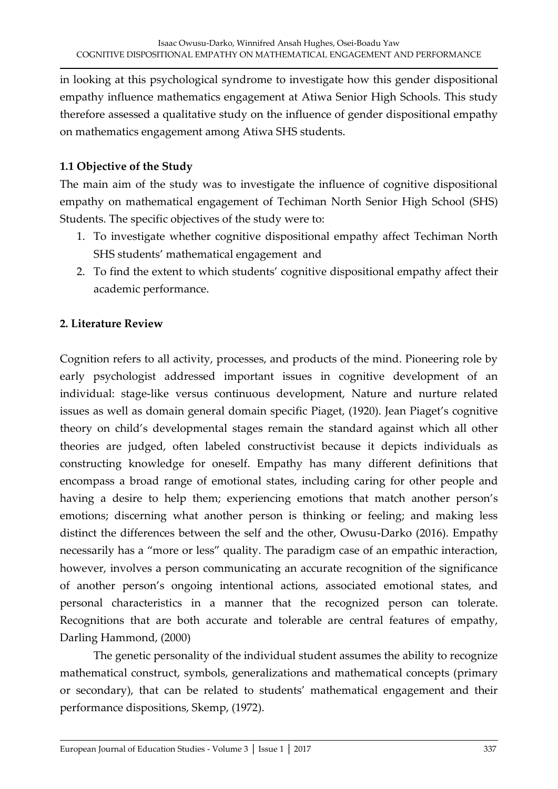in looking at this psychological syndrome to investigate how this gender dispositional empathy influence mathematics engagement at Atiwa Senior High Schools. This study therefore assessed a qualitative study on the influence of gender dispositional empathy on mathematics engagement among Atiwa SHS students.

## **1.1 Objective of the Study**

The main aim of the study was to investigate the influence of cognitive dispositional empathy on mathematical engagement of Techiman North Senior High School (SHS) Students. The specific objectives of the study were to:

- 1. To investigate whether cognitive dispositional empathy affect Techiman North SHS students' mathematical engagement and
- 2. To find the extent to which students' cognitive dispositional empathy affect their academic performance.

# **2. Literature Review**

Cognition refers to all activity, processes, and products of the mind. Pioneering role by early psychologist addressed important issues in cognitive development of an individual: stage-like versus continuous development, Nature and nurture related issues as well as domain general domain specific Piaget, (1920). Jean Piaget's cognitive theory on child's developmental stages remain the standard against which all other theories are judged, often labeled constructivist because it depicts individuals as constructing knowledge for oneself. Empathy has many different definitions that encompass a broad range of emotional states, including caring for other people and having a desire to help them; experiencing emotions that match another person's emotions; discerning what another person is thinking or feeling; and making less distinct the differences between the self and the other, Owusu-Darko (2016). Empathy necessarily has a "more or less" quality. The paradigm case of an empathic interaction, however, involves a person communicating an accurate recognition of the significance of another person's ongoing intentional actions, associated emotional states, and personal characteristics in a manner that the recognized person can tolerate. Recognitions that are both accurate and tolerable are central features of empathy, Darling Hammond, (2000)

 The genetic personality of the individual student assumes the ability to recognize mathematical construct, symbols, generalizations and mathematical concepts (primary or secondary), that can be related to students' mathematical engagement and their performance dispositions, Skemp, (1972).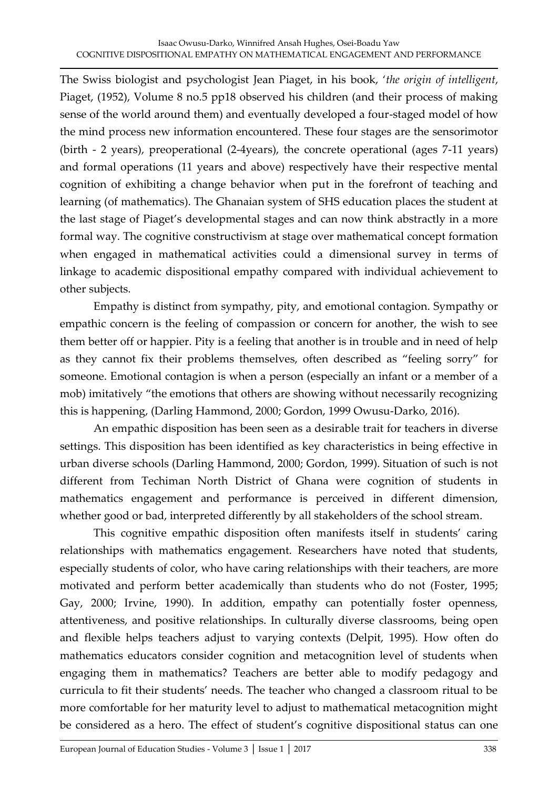The Swiss biologist and psychologist Jean Piaget, in his book, 'the origin of intelligent, Piaget, (1952), Volume 8 no.5 pp18 observed his children (and their process of making sense of the world around them) and eventually developed a four-staged model of how the mind process new information encountered. These four stages are the sensorimotor (birth - 2 years), preoperational (2-4years), the concrete operational (ages 7-11 years) and formal operations (11 years and above) respectively have their respective mental cognition of exhibiting a change behavior when put in the forefront of teaching and learning (of mathematics). The Ghanaian system of SHS education places the student at the last stage of Piaget's developmental stages and can now think abstractly in a more formal way. The cognitive constructivism at stage over mathematical concept formation when engaged in mathematical activities could a dimensional survey in terms of linkage to academic dispositional empathy compared with individual achievement to other subjects.

 Empathy is distinct from sympathy, pity, and emotional contagion. Sympathy or empathic concern is the feeling of compassion or concern for another, the wish to see them better off or happier. Pity is a feeling that another is in trouble and in need of help as they cannot fix their problems themselves, often described as "feeling sorry" for someone. Emotional contagion is when a person (especially an infant or a member of a mob) imitatively "the emotions that others are showing without necessarily recognizing this is happening, (Darling Hammond, 2000; Gordon, 1999 Owusu-Darko, 2016).

 An empathic disposition has been seen as a desirable trait for teachers in diverse settings. This disposition has been identified as key characteristics in being effective in urban diverse schools (Darling Hammond, 2000; Gordon, 1999). Situation of such is not different from Techiman North District of Ghana were cognition of students in mathematics engagement and performance is perceived in different dimension, whether good or bad, interpreted differently by all stakeholders of the school stream.

This cognitive empathic disposition often manifests itself in students' caring relationships with mathematics engagement. Researchers have noted that students, especially students of color, who have caring relationships with their teachers, are more motivated and perform better academically than students who do not (Foster, 1995; Gay, 2000; Irvine, 1990). In addition, empathy can potentially foster openness, attentiveness, and positive relationships. In culturally diverse classrooms, being open and flexible helps teachers adjust to varying contexts (Delpit, 1995). How often do mathematics educators consider cognition and metacognition level of students when engaging them in mathematics? Teachers are better able to modify pedagogy and curricula to fit their students' needs. The teacher who changed a classroom ritual to be more comfortable for her maturity level to adjust to mathematical metacognition might be considered as a hero. The effect of student's cognitive dispositional status can one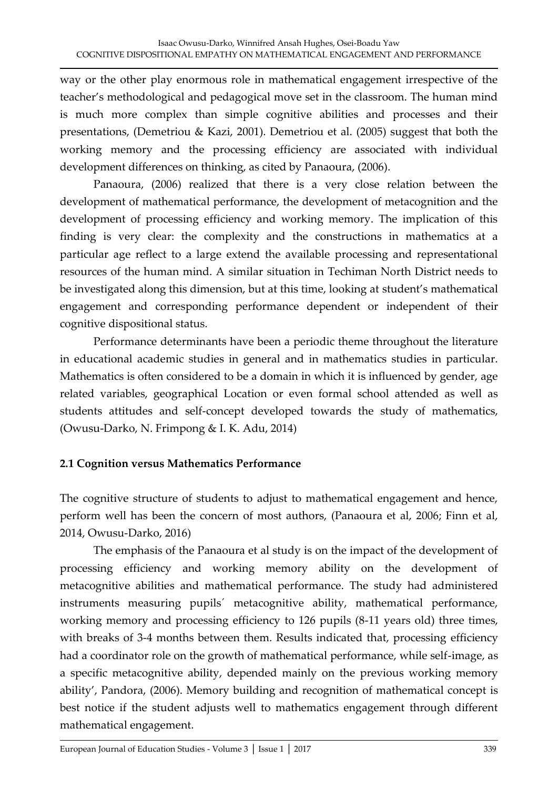way or the other play enormous role in mathematical engagement irrespective of the teacher's methodological and pedagogical move set in the classroom. The human mind is much more complex than simple cognitive abilities and processes and their presentations, (Demetriou & Kazi, 2001). Demetriou et al. (2005) suggest that both the working memory and the processing efficiency are associated with individual development differences on thinking, as cited by Panaoura, (2006).

 Panaoura, (2006) realized that there is a very close relation between the development of mathematical performance, the development of metacognition and the development of processing efficiency and working memory. The implication of this finding is very clear: the complexity and the constructions in mathematics at a particular age reflect to a large extend the available processing and representational resources of the human mind. A similar situation in Techiman North District needs to be investigated along this dimension, but at this time, looking at student's mathematical engagement and corresponding performance dependent or independent of their cognitive dispositional status.

 Performance determinants have been a periodic theme throughout the literature in educational academic studies in general and in mathematics studies in particular. Mathematics is often considered to be a domain in which it is influenced by gender, age related variables, geographical Location or even formal school attended as well as students attitudes and self-concept developed towards the study of mathematics, (Owusu-Darko, N. Frimpong & I. K. Adu, 2014)

## **2.1 Cognition versus Mathematics Performance**

The cognitive structure of students to adjust to mathematical engagement and hence, perform well has been the concern of most authors, (Panaoura et al, 2006; Finn et al, 2014, Owusu-Darko, 2016)

 The emphasis of the Panaoura et al study is on the impact of the development of processing efficiency and working memory ability on the development of metacognitive abilities and mathematical performance. The study had administered instruments measuring pupils´ metacognitive ability, mathematical performance, working memory and processing efficiency to 126 pupils (8-11 years old) three times, with breaks of 3-4 months between them. Results indicated that, processing efficiency had a coordinator role on the growth of mathematical performance, while self-image, as a specific metacognitive ability, depended mainly on the previous working memory ability', Pandora, (2006). Memory building and recognition of mathematical concept is best notice if the student adjusts well to mathematics engagement through different mathematical engagement.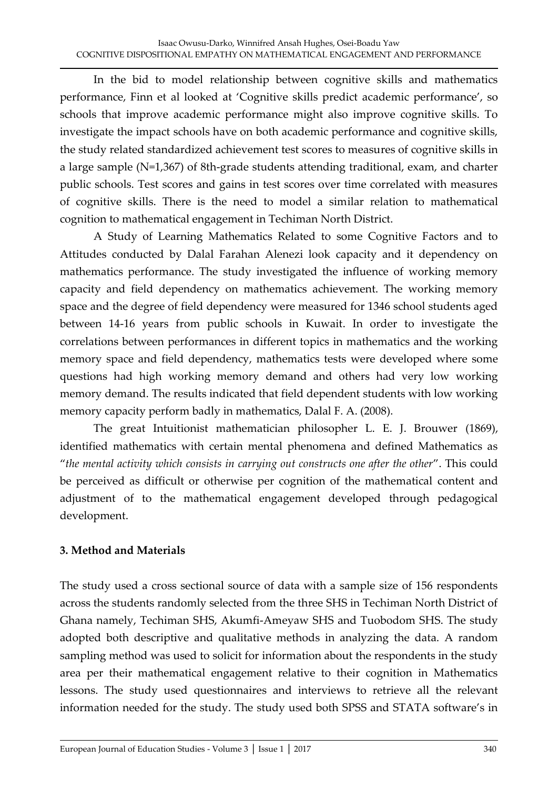In the bid to model relationship between cognitive skills and mathematics performance, Finn et al looked at 'Cognitive skills predict academic performance', so schools that improve academic performance might also improve cognitive skills. To investigate the impact schools have on both academic performance and cognitive skills, the study related standardized achievement test scores to measures of cognitive skills in a large sample (N=1,367) of 8th-grade students attending traditional, exam, and charter public schools. Test scores and gains in test scores over time correlated with measures of cognitive skills. There is the need to model a similar relation to mathematical cognition to mathematical engagement in Techiman North District.

 A Study of Learning Mathematics Related to some Cognitive Factors and to Attitudes conducted by Dalal Farahan Alenezi look capacity and it dependency on mathematics performance. The study investigated the influence of working memory capacity and field dependency on mathematics achievement. The working memory space and the degree of field dependency were measured for 1346 school students aged between 14-16 years from public schools in Kuwait. In order to investigate the correlations between performances in different topics in mathematics and the working memory space and field dependency, mathematics tests were developed where some questions had high working memory demand and others had very low working memory demand. The results indicated that field dependent students with low working memory capacity perform badly in mathematics, Dalal F. A. (2008).

 The great Intuitionist mathematician philosopher L. E. J. Brouwer (1869), identified mathematics with certain mental phenomena and defined Mathematics as "the mental activity which consists in carrying out constructs one after the other". This could be perceived as difficult or otherwise per cognition of the mathematical content and adjustment of to the mathematical engagement developed through pedagogical development.

# **3. Method and Materials**

The study used a cross sectional source of data with a sample size of 156 respondents across the students randomly selected from the three SHS in Techiman North District of Ghana namely, Techiman SHS, Akumfi-Ameyaw SHS and Tuobodom SHS. The study adopted both descriptive and qualitative methods in analyzing the data. A random sampling method was used to solicit for information about the respondents in the study area per their mathematical engagement relative to their cognition in Mathematics lessons. The study used questionnaires and interviews to retrieve all the relevant information needed for the study. The study used both SPSS and STATA software's in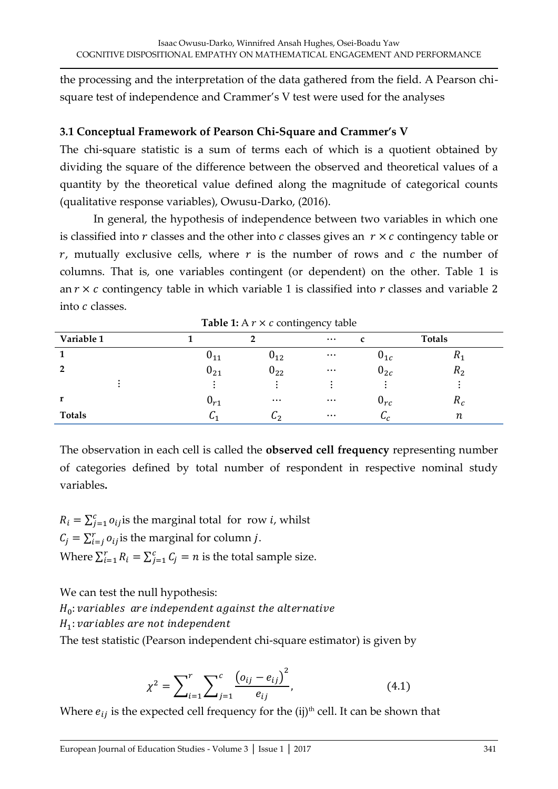the processing and the interpretation of the data gathered from the field. A Pearson chisquare test of independence and Crammer's V test were used for the analyses

#### **3.1 Conceptual Framework of Pearson Chi-Square and Crammer's V**

The chi-square statistic is a sum of terms each of which is a quotient obtained by dividing the square of the difference between the observed and theoretical values of a quantity by the theoretical value defined along the magnitude of categorical counts (qualitative response variables), Owusu-Darko, (2016).

 In general, the hypothesis of independence between two variables in which one is classified into  $r$  classes and the other into  $c$  classes gives an  $r \times c$  contingency table or  $r$ , mutually exclusive cells, where  $r$  is the number of rows and  $c$  the number of columns. That is, one variables contingent (or dependent) on the other. Table 1 is an  $r \times c$  contingency table in which variable 1 is classified into  $r$  classes and variable 2 into  $c$  classes.

| Variable 1     |                   |                | $\cdots$ |                   | <b>Totals</b>  |
|----------------|-------------------|----------------|----------|-------------------|----------------|
|                | $v_{11}$          | $v_{12}$       | $\cdots$ | $v_{1c}$          | 111            |
| $\overline{2}$ | $\mathsf{u}_{21}$ | $U_{22}$       | $\ldots$ | $0_{2c}$          | n <sub>2</sub> |
|                |                   |                |          |                   |                |
|                | $v_{r1}$          | $\cdots$       | $\cdots$ | $\mathsf{u}_{rc}$ | $\mathbf{u}_c$ |
| <b>Totals</b>  | U1                | $\mathsf{L}_2$ | $\ldots$ | $\mathbf{u}_c$    | $\it n$        |

**Table 1:** A  $r \times c$  contingency table

The observation in each cell is called the **observed cell frequency** representing number of categories defined by total number of respondent in respective nominal study variables**.** 

 $R_i = \sum_{j=1}^{c} o_{ij}$  is the marginal total for row *i*, whilst  $C_j = \sum_{i=j}^{r} o_{ij}$  is the marginal for column *j*. Where  $\sum_{i=1}^{r} R_i = \sum_{j=1}^{c} C_j = n$  is the total sample size.

We can test the null hypothesis:

 $H_0$ : variables are independent against the alternative

 $H_1$ : variables are not independent

The test statistic (Pearson independent chi-square estimator) is given by

$$
\chi^2 = \sum_{i=1}^r \sum_{j=1}^c \frac{\left(o_{ij} - e_{ij}\right)^2}{e_{ij}},\tag{4.1}
$$

Where  $e_{ii}$  is the expected cell frequency for the (ij)<sup>th</sup> cell. It can be shown that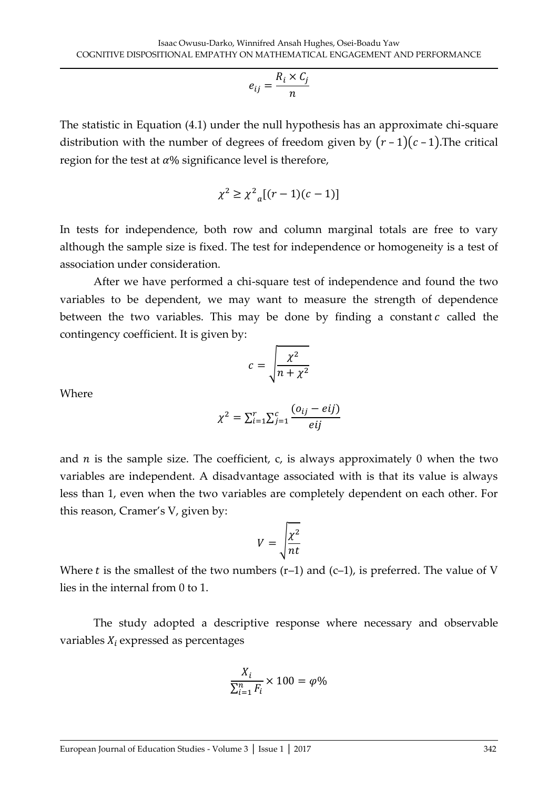$$
e_{ij} = \frac{R_i \times C_j}{n}
$$

The statistic in Equation (4.1) under the null hypothesis has an approximate chi-square distribution with the number of degrees of freedom given by  $(r-1)(c-1)$ . The critical region for the test at  $\alpha$ % significance level is therefore,

$$
\chi^2 \geq \chi^2_{a}[(r-1)(c-1)]
$$

In tests for independence, both row and column marginal totals are free to vary although the sample size is fixed. The test for independence or homogeneity is a test of association under consideration.

 After we have performed a chi-square test of independence and found the two variables to be dependent, we may want to measure the strength of dependence between the two variables. This may be done by finding a constant  $c$  called the contingency coefficient. It is given by:

$$
c = \sqrt{\frac{\chi^2}{n + \chi^2}}
$$

Where

$$
\chi^2 = \sum_{i=1}^r \sum_{j=1}^c \frac{(o_{ij} - eij)}{eij}
$$

and  $n$  is the sample size. The coefficient, c, is always approximately 0 when the two variables are independent. A disadvantage associated with is that its value is always less than 1, even when the two variables are completely dependent on each other. For this reason, Cramer's V, given by:

$$
V = \sqrt{\frac{\chi^2}{nt}}
$$

Where t is the smallest of the two numbers  $(r-1)$  and  $(c-1)$ , is preferred. The value of V lies in the internal from 0 to 1.

 The study adopted a descriptive response where necessary and observable variables  $X_i$  expressed as percentages

$$
\frac{X_i}{\sum_{i=1}^n F_i} \times 100 = \varphi \%
$$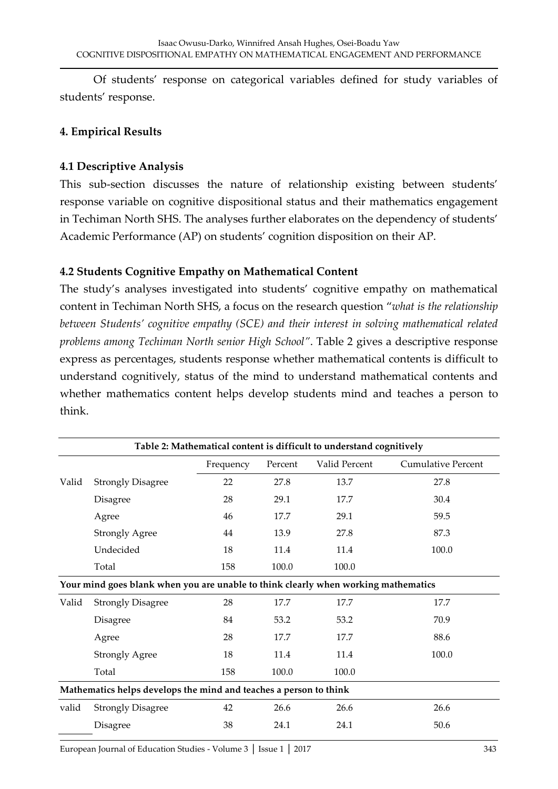Of students' response on categorical variables defined for study variables of students' response.

#### **4. Empirical Results**

#### **4.1 Descriptive Analysis**

This sub-section discusses the nature of relationship existing between students' response variable on cognitive dispositional status and their mathematics engagement in Techiman North SHS. The analyses further elaborates on the dependency of students' Academic Performance (AP) on students' cognition disposition on their AP.

#### **4.2 Students Cognitive Empathy on Mathematical Content**

The study's analyses investigated into students' cognitive empathy on mathematical content in Techiman North SHS, a focus on the research question "what is the relationship between Students' cognitive empathy (SCE) and their interest in solving mathematical related *problems among Techiman North senior High School"*. Table 2 gives a descriptive response express as percentages, students response whether mathematical contents is difficult to understand cognitively, status of the mind to understand mathematical contents and whether mathematics content helps develop students mind and teaches a person to think.

|       |                                                                                    | Frequency | Percent | Valid Percent | <b>Cumulative Percent</b> |  |  |  |  |  |
|-------|------------------------------------------------------------------------------------|-----------|---------|---------------|---------------------------|--|--|--|--|--|
| Valid | <b>Strongly Disagree</b>                                                           | 22        | 27.8    | 13.7          | 27.8                      |  |  |  |  |  |
|       | Disagree                                                                           | 28        | 29.1    | 17.7          | 30.4                      |  |  |  |  |  |
|       | Agree                                                                              | 46        | 17.7    | 29.1          | 59.5                      |  |  |  |  |  |
|       | <b>Strongly Agree</b>                                                              | 44        | 13.9    | 27.8          | 87.3                      |  |  |  |  |  |
|       | Undecided                                                                          | 18        | 11.4    | 11.4          | 100.0                     |  |  |  |  |  |
|       | Total                                                                              | 158       | 100.0   | 100.0         |                           |  |  |  |  |  |
|       | Your mind goes blank when you are unable to think clearly when working mathematics |           |         |               |                           |  |  |  |  |  |
| Valid | <b>Strongly Disagree</b>                                                           | 28        | 17.7    | 17.7          | 17.7                      |  |  |  |  |  |
|       | Disagree                                                                           | 84        | 53.2    | 53.2          | 70.9                      |  |  |  |  |  |
|       | Agree                                                                              | 28        | 17.7    | 17.7          | 88.6                      |  |  |  |  |  |
|       | <b>Strongly Agree</b>                                                              | 18        | 11.4    | 11.4          | 100.0                     |  |  |  |  |  |
|       | Total                                                                              | 158       | 100.0   | 100.0         |                           |  |  |  |  |  |
|       | Mathematics helps develops the mind and teaches a person to think                  |           |         |               |                           |  |  |  |  |  |
| valid | <b>Strongly Disagree</b>                                                           | 42        | 26.6    | 26.6          | 26.6                      |  |  |  |  |  |
|       | Disagree                                                                           | 38        | 24.1    | 24.1          | 50.6                      |  |  |  |  |  |
|       |                                                                                    |           |         |               |                           |  |  |  |  |  |

**Table 2: Mathematical content is difficult to understand cognitively**

[European Journal of Education Studies - Volume 3](http://oapub.org/edu/index.php/ejes) │ Issue 1 │ 2017 343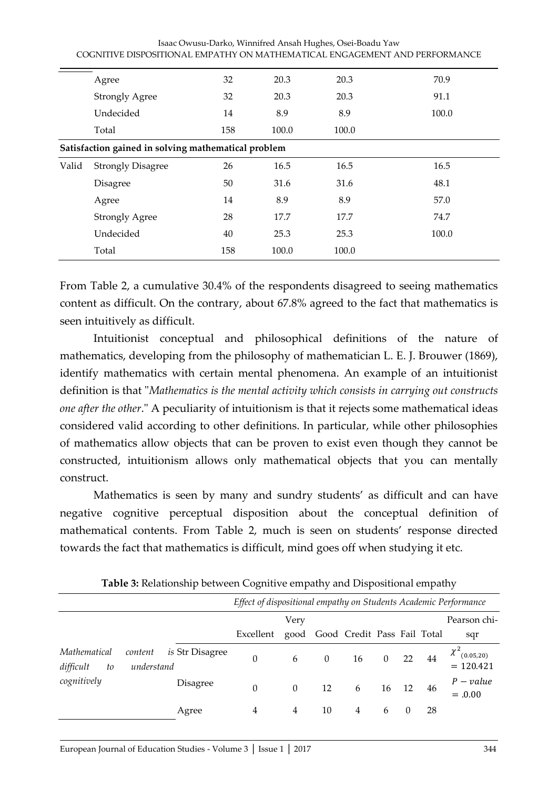| Isaac Owusu-Darko, Winnifred Ansah Hughes, Osei-Boadu Yaw                  |
|----------------------------------------------------------------------------|
| COGNITIVE DISPOSITIONAL EMPATHY ON MATHEMATICAL ENGAGEMENT AND PERFORMANCE |

|       | Agree                                               | 32  | 20.3  | 20.3  | 70.9  |
|-------|-----------------------------------------------------|-----|-------|-------|-------|
|       | <b>Strongly Agree</b>                               | 32  | 20.3  | 20.3  | 91.1  |
|       | Undecided                                           | 14  | 8.9   | 8.9   | 100.0 |
|       | Total                                               | 158 | 100.0 | 100.0 |       |
|       | Satisfaction gained in solving mathematical problem |     |       |       |       |
| Valid | <b>Strongly Disagree</b>                            | 26  | 16.5  | 16.5  | 16.5  |
|       | Disagree                                            | 50  | 31.6  | 31.6  | 48.1  |
|       | Agree                                               | 14  | 8.9   | 8.9   | 57.0  |
|       | <b>Strongly Agree</b>                               | 28  | 17.7  | 17.7  | 74.7  |
|       | Undecided                                           | 40  | 25.3  | 25.3  | 100.0 |
|       | Total                                               | 158 | 100.0 | 100.0 |       |

From Table 2, a cumulative 30.4% of the respondents disagreed to seeing mathematics content as difficult. On the contrary, about 67.8% agreed to the fact that mathematics is seen intuitively as difficult.

 Intuitionist conceptual and philosophical definitions of the nature of mathematics, developing from the philosophy of mathematician L. E. J. Brouwer (1869), identify mathematics with certain mental phenomena. An example of an intuitionist definition is that "*Mathematics is the mental activity which consists in carrying out constructs one after the other*." A peculiarity of intuitionism is that it rejects some mathematical ideas considered valid according to other definitions. In particular, while other philosophies of mathematics allow objects that can be proven to exist even though they cannot be constructed, intuitionism allows only mathematical objects that you can mentally construct.

Mathematics is seen by many and sundry students' as difficult and can have negative cognitive perceptual disposition about the conceptual definition of mathematical contents. From Table 2, much is seen on students' response directed towards the fact that mathematics is difficult, mind goes off when studying it etc.

|                                 |                       |                        | Effect of dispositional empathy on Students Academic Performance |          |          |                             |          |          |    |                                              |
|---------------------------------|-----------------------|------------------------|------------------------------------------------------------------|----------|----------|-----------------------------|----------|----------|----|----------------------------------------------|
|                                 |                       |                        |                                                                  | Very     |          |                             |          |          |    | Pearson chi-                                 |
|                                 |                       |                        | Excellent                                                        | good     |          | Good Credit Pass Fail Total |          |          |    | sqr                                          |
| Mathematical<br>difficult<br>to | content<br>understand | <i>is</i> Str Disagree | $\theta$                                                         | 6        | $\theta$ | 16                          | $\theta$ | 22       | 44 | $\chi^2$ <sub>(0.05,20)</sub><br>$= 120.421$ |
| cognitively                     |                       | Disagree               | $\theta$                                                         | $\theta$ | 12       | 6                           | 16       | 12       | 46 | $P-value$<br>$=.0.00$                        |
|                                 |                       | Agree                  | 4                                                                | 4        | 10       | 4                           | 6        | $\theta$ | 28 |                                              |

**Table 3:** Relationship between Cognitive empathy and Dispositional empathy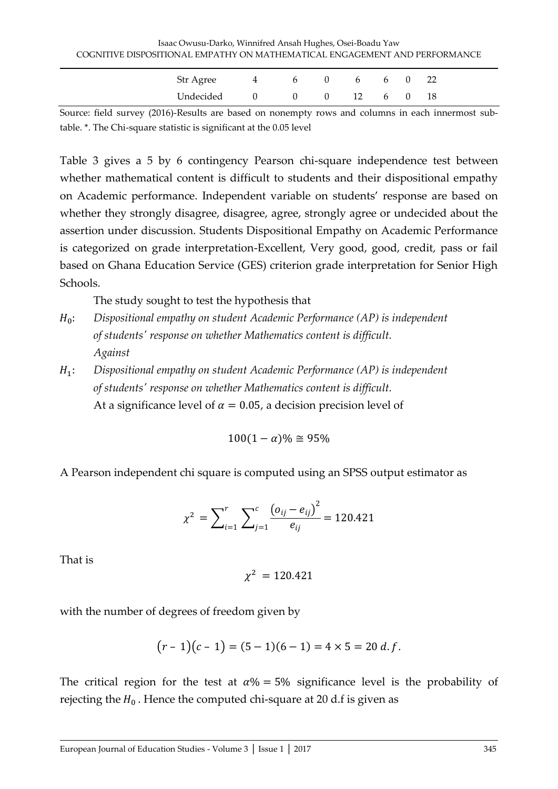| Str Agree     | 4 6 |  | $0 \qquad 6 \qquad 6 \qquad 0$ |  | -22 |
|---------------|-----|--|--------------------------------|--|-----|
| Undecided 0 0 |     |  | $0 \t 12 \t 6 \t 0$            |  | 18  |

Source: field survey (2016)-Results are based on nonempty rows and columns in each innermost subtable. \*. The Chi-square statistic is significant at the 0.05 level

Table 3 gives a 5 by 6 contingency Pearson chi-square independence test between whether mathematical content is difficult to students and their dispositional empathy on Academic performance. Independent variable on students' response are based on whether they strongly disagree, disagree, agree, strongly agree or undecided about the assertion under discussion. Students Dispositional Empathy on Academic Performance is categorized on grade interpretation-Excellent, Very good, good, credit, pass or fail based on Ghana Education Service (GES) criterion grade interpretation for Senior High Schools.

The study sought to test the hypothesis that

- : *Dispositional empathy on student Academic Performance (AP) is independent of students' response on whether Mathematics content is difficult. Against*
- ଵ: *Dispositional empathy on student Academic Performance (AP) is independent of students' response on whether Mathematics content is difficult.*  At a significance level of  $\alpha = 0.05$ , a decision precision level of

 $100(1 - \alpha)\% \approx 95\%$ 

A Pearson independent chi square is computed using an SPSS output estimator as

$$
\chi^{2} = \sum_{i=1}^{r} \sum_{j=1}^{c} \frac{(o_{ij} - e_{ij})^{2}}{e_{ij}} = 120.421
$$

That is

$$
\chi^2=120.421
$$

with the number of degrees of freedom given by

$$
(r-1)(c-1) = (5-1)(6-1) = 4 \times 5 = 20 d.f.
$$

The critical region for the test at  $\alpha$ % = 5% significance level is the probability of rejecting the  $H_0$ . Hence the computed chi-square at 20 d.f is given as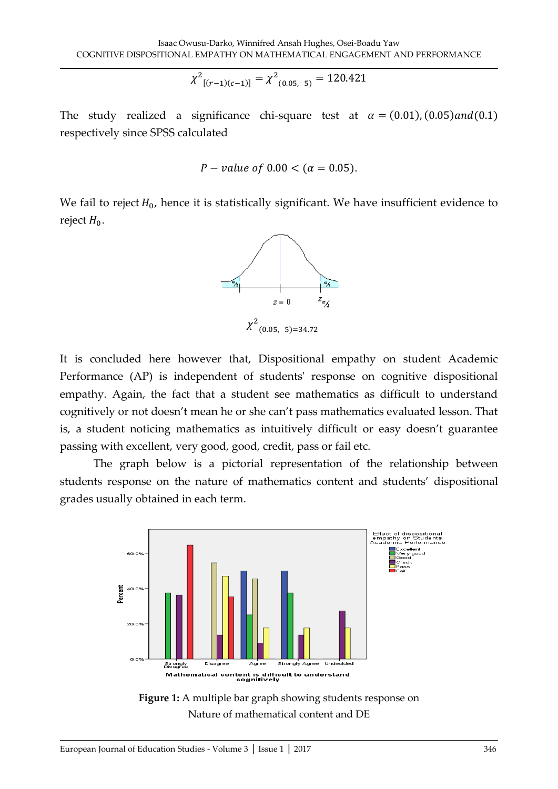$$
\chi^2_{[(r-1)(c-1)]} = \chi^2_{(0.05,-5)} = 120.421
$$

The study realized a significance chi-square test at  $\alpha = (0.01), (0.05)$  and  $(0.1)$ respectively since SPSS calculated

$$
P
$$
 – value of 0.00  $<$  ( $\alpha$  = 0.05).

We fail to reject  $H_0$ , hence it is statistically significant. We have insufficient evidence to reject  $H_0$ .



It is concluded here however that, Dispositional empathy on student Academic Performance (AP) is independent of students' response on cognitive dispositional empathy. Again, the fact that a student see mathematics as difficult to understand cognitively or not doesn't mean he or she can't pass mathematics evaluated lesson. That is, a student noticing mathematics as intuitively difficult or easy doesn't guarantee passing with excellent, very good, good, credit, pass or fail etc.

 The graph below is a pictorial representation of the relationship between students response on the nature of mathematics content and students' dispositional grades usually obtained in each term.



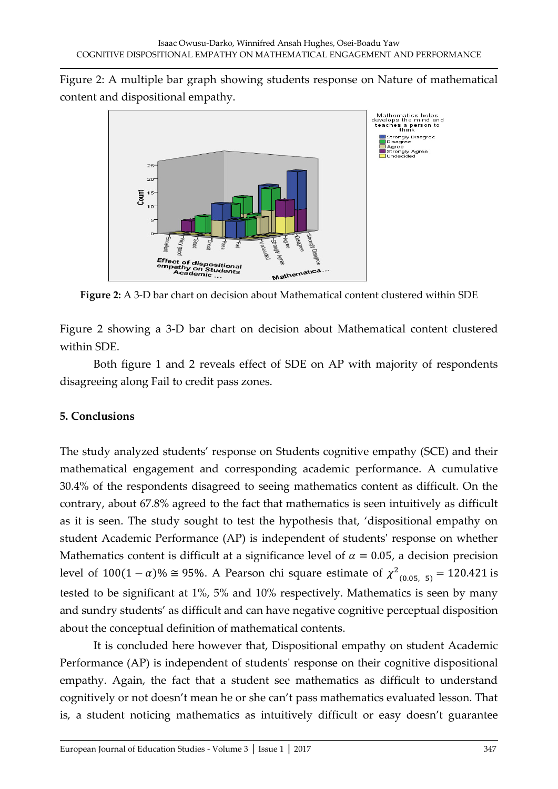



**Figure 2:** A 3-D bar chart on decision about Mathematical content clustered within SDE

Figure 2 showing a 3-D bar chart on decision about Mathematical content clustered within SDE.

 Both figure 1 and 2 reveals effect of SDE on AP with majority of respondents disagreeing along Fail to credit pass zones.

## **5. Conclusions**

The study analyzed students' response on Students cognitive empathy (SCE) and their mathematical engagement and corresponding academic performance. A cumulative 30.4% of the respondents disagreed to seeing mathematics content as difficult. On the contrary, about 67.8% agreed to the fact that mathematics is seen intuitively as difficult as it is seen. The study sought to test the hypothesis that, 'dispositional empathy on student Academic Performance (AP) is independent of students' response on whether Mathematics content is difficult at a significance level of  $\alpha = 0.05$ , a decision precision level of  $100(1 - \alpha)\% \cong 95\%$ . A Pearson chi square estimate of  $\chi^2_{(0.05, 5)} = 120.421$  is tested to be significant at 1%, 5% and 10% respectively. Mathematics is seen by many and sundry students' as difficult and can have negative cognitive perceptual disposition about the conceptual definition of mathematical contents.

 It is concluded here however that, Dispositional empathy on student Academic Performance (AP) is independent of students' response on their cognitive dispositional empathy. Again, the fact that a student see mathematics as difficult to understand cognitively or not doesn't mean he or she can't pass mathematics evaluated lesson. That is, a student noticing mathematics as intuitively difficult or easy doesn't guarantee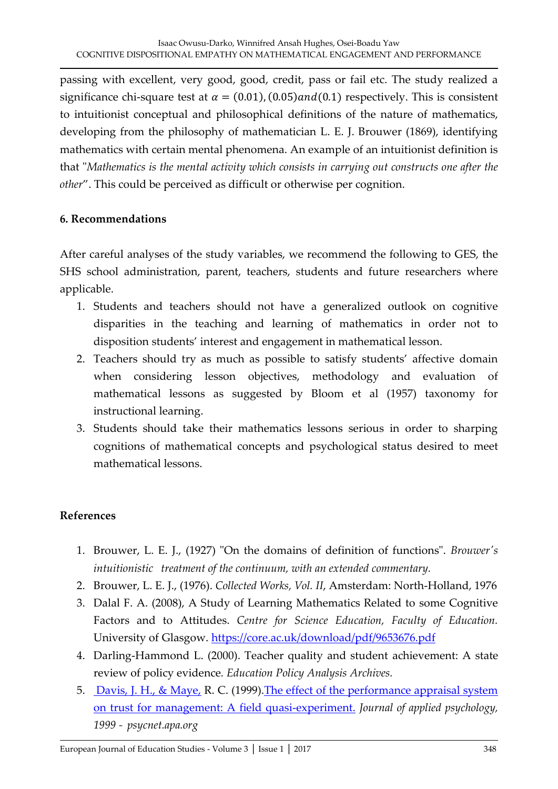passing with excellent, very good, good, credit, pass or fail etc. The study realized a significance chi-square test at  $\alpha = (0.01)$ ,  $(0.05)$  and  $(0.1)$  respectively. This is consistent to intuitionist conceptual and philosophical definitions of the nature of mathematics, developing from the philosophy of mathematician L. E. J. Brouwer (1869), identifying mathematics with certain mental phenomena. An example of an intuitionist definition is that "*Mathematics is the mental activity which consists in carrying out constructs one after the other*Ȅ. This could be perceived as difficult or otherwise per cognition.

## **6. Recommendations**

After careful analyses of the study variables, we recommend the following to GES, the SHS school administration, parent, teachers, students and future researchers where applicable.

- 1. Students and teachers should not have a generalized outlook on cognitive disparities in the teaching and learning of mathematics in order not to disposition students' interest and engagement in mathematical lesson.
- 2. Teachers should try as much as possible to satisfy students' affective domain when considering lesson objectives, methodology and evaluation of mathematical lessons as suggested by Bloom et al (1957) taxonomy for instructional learning.
- 3. Students should take their mathematics lessons serious in order to sharping cognitions of mathematical concepts and psychological status desired to meet mathematical lessons.

## **References**

- 1. Brouwer, L. E. J., (1927) "On the domains of definition of functions". *Brouwer's intuitionistic treatment of the continuum, with an extended commentary.*
- 2. Brouwer, L. E. J., (1976). *Collected Works, Vol. II*, Amsterdam: North-Holland, 1976
- 3. Dalal F. A. (2008), A Study of Learning Mathematics Related to some Cognitive Factors and to Attitudes. *Centre for Science Education, Faculty of Education.* University of Glasgow.<https://core.ac.uk/download/pdf/9653676.pdf>
- 4. Darling-Hammond L. (2000). Teacher quality and student achievement: A state review of policy evidence*. Education Policy Analysis Archives.*
- 5. [Davis, J. H., & Maye,](https://scholar.google.com/citations?user=dX0g5roAAAAJ&hl=en&oi=sra) R. C. (1999)[.The effect of the performance appraisal system](http://psycnet.apa.org/journals/apl/84/1/123/)  [on trust for management: A field quasi-experiment.](http://psycnet.apa.org/journals/apl/84/1/123/) *Journal of applied psychology, 1999 - psycnet.apa.org*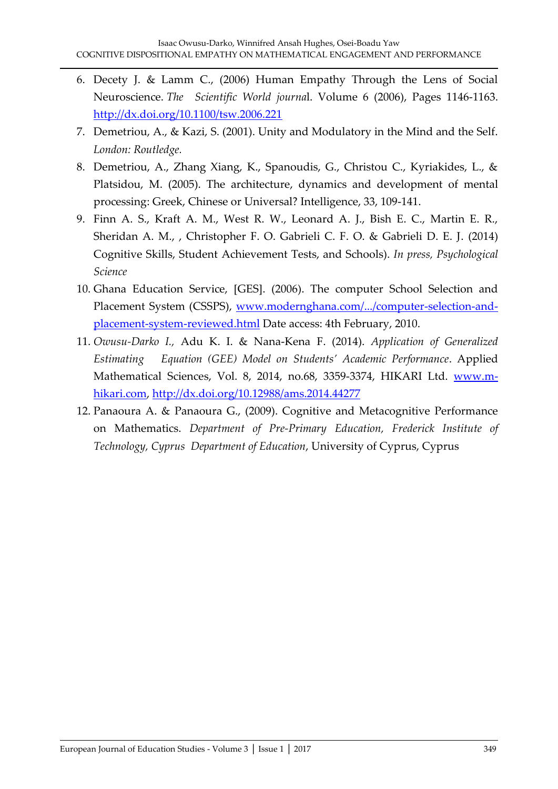- 6. Decety J. & Lamm C., (2006) Human Empathy Through the Lens of Social Neuroscience. *The Scientific World journa*l. Volume 6 (2006), Pages 1146-1163. <http://dx.doi.org/10.1100/tsw.2006.221>
- 7. Demetriou, A., & Kazi, S. (2001). Unity and Modulatory in the Mind and the Self. *London: Routledge.*
- 8. Demetriou, A., Zhang Xiang, K., Spanoudis, G., Christou C., Kyriakides, L., & Platsidou, M. (2005). The architecture, dynamics and development of mental processing: Greek, Chinese or Universal? Intelligence, 33, 109-141.
- 9. Finn A. S., Kraft A. M., West R. W., Leonard A. J., Bish E. C., Martin E. R., Sheridan A. M., , Christopher F. O. Gabrieli C. F. O. & Gabrieli D. E. J. (2014) Cognitive Skills, Student Achievement Tests, and Schools). *In press, Psychological Science*
- 10. Ghana Education Service, [GES]. (2006). The computer School Selection and Placement System (CSSPS), [www.modernghana.com/.../computer-selection-and](http://www.modernghana.com/.../computer-selection-and-placement-system-reviewed.html)[placement-system-reviewed.html](http://www.modernghana.com/.../computer-selection-and-placement-system-reviewed.html) Date access: 4th February, 2010.
- 11. *Owusu-Darko I.,* Adu K. I. & Nana-Kena F. (2014). *Application of Generalized Estimating Equation ǻGEEǼ Model on Students' Academic Performance*. Applied Mathematical Sciences, Vol. 8, 2014, no.68, 3359-3374, HIKARI Ltd. [www.m](http://www.m-hikari.com/)[hikari.com,](http://www.m-hikari.com/)<http://dx.doi.org/10.12988/ams.2014.44277>
- 12. Panaoura A. & Panaoura G., (2009). Cognitive and Metacognitive Performance on Mathematics. *Department of Pre-Primary Education, Frederick Institute of Technology, Cyprus Department of Education*, University of Cyprus, Cyprus